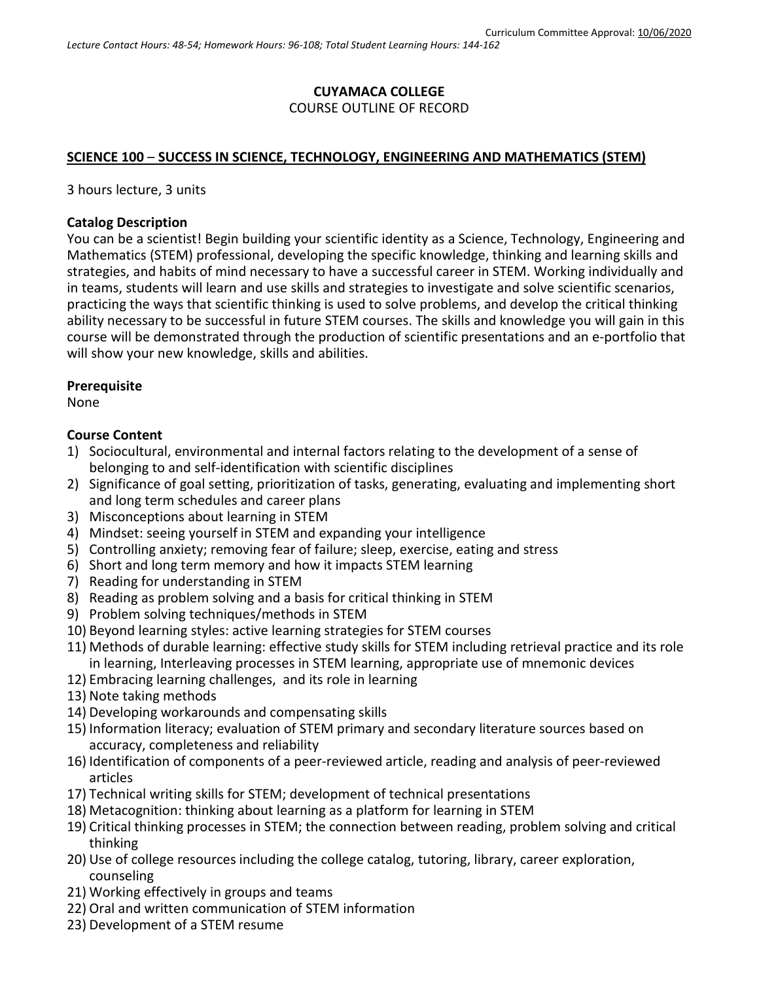## **CUYAMACA COLLEGE** COURSE OUTLINE OF RECORD

## **SCIENCE 100** – **SUCCESS IN SCIENCE, TECHNOLOGY, ENGINEERING AND MATHEMATICS (STEM)**

3 hours lecture, 3 units

## **Catalog Description**

You can be a scientist! Begin building your scientific identity as a Science, Technology, Engineering and Mathematics (STEM) professional, developing the specific knowledge, thinking and learning skills and strategies, and habits of mind necessary to have a successful career in STEM. Working individually and in teams, students will learn and use skills and strategies to investigate and solve scientific scenarios, practicing the ways that scientific thinking is used to solve problems, and develop the critical thinking ability necessary to be successful in future STEM courses. The skills and knowledge you will gain in this course will be demonstrated through the production of scientific presentations and an e-portfolio that will show your new knowledge, skills and abilities.

### **Prerequisite**

None

### **Course Content**

- 1) Sociocultural, environmental and internal factors relating to the development of a sense of belonging to and self-identification with scientific disciplines
- 2) Significance of goal setting, prioritization of tasks, generating, evaluating and implementing short and long term schedules and career plans
- 3) Misconceptions about learning in STEM
- 4) Mindset: seeing yourself in STEM and expanding your intelligence
- 5) Controlling anxiety; removing fear of failure; sleep, exercise, eating and stress
- 6) Short and long term memory and how it impacts STEM learning
- 7) Reading for understanding in STEM
- 8) Reading as problem solving and a basis for critical thinking in STEM
- 9) Problem solving techniques/methods in STEM
- 10) Beyond learning styles: active learning strategies for STEM courses
- 11) Methods of durable learning: effective study skills for STEM including retrieval practice and its role in learning, Interleaving processes in STEM learning, appropriate use of mnemonic devices
- 12) Embracing learning challenges, and its role in learning
- 13) Note taking methods
- 14) Developing workarounds and compensating skills
- 15) Information literacy; evaluation of STEM primary and secondary literature sources based on accuracy, completeness and reliability
- 16) Identification of components of a peer-reviewed article, reading and analysis of peer-reviewed articles
- 17) Technical writing skills for STEM; development of technical presentations
- 18) Metacognition: thinking about learning as a platform for learning in STEM
- 19) Critical thinking processes in STEM; the connection between reading, problem solving and critical thinking
- 20) Use of college resources including the college catalog, tutoring, library, career exploration, counseling
- 21) Working effectively in groups and teams
- 22) Oral and written communication of STEM information
- 23) Development of a STEM resume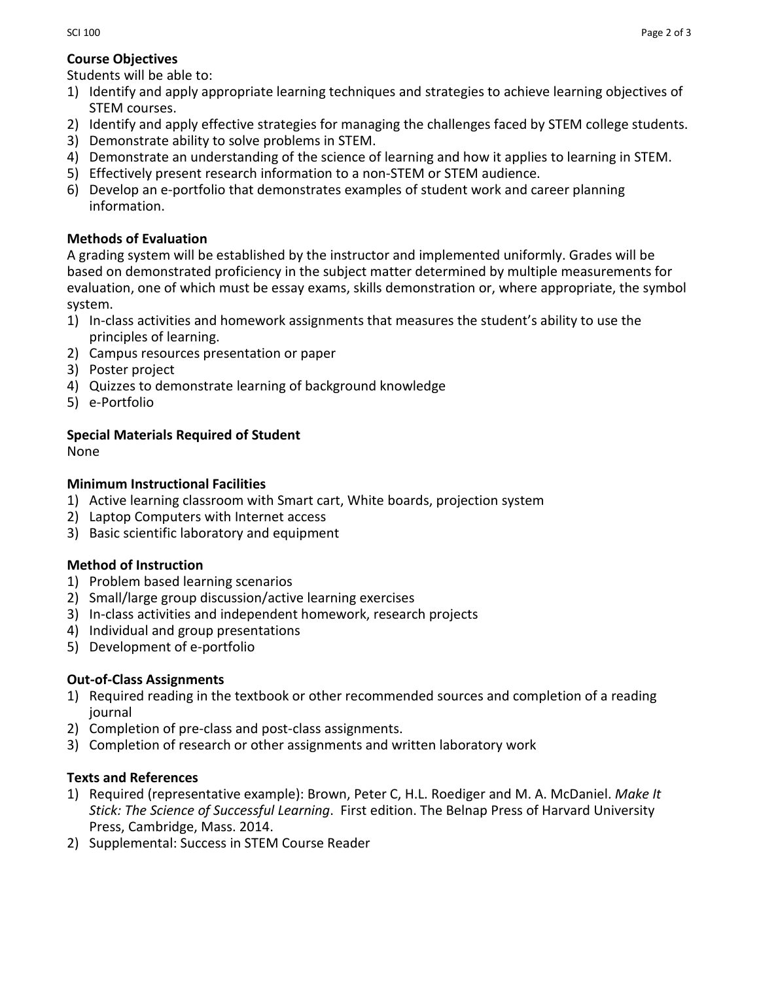## **Course Objectives**

Students will be able to:

- 1) Identify and apply appropriate learning techniques and strategies to achieve learning objectives of STEM courses.
- 2) Identify and apply effective strategies for managing the challenges faced by STEM college students.
- 3) Demonstrate ability to solve problems in STEM.
- 4) Demonstrate an understanding of the science of learning and how it applies to learning in STEM.
- 5) Effectively present research information to a non-STEM or STEM audience.
- 6) Develop an e-portfolio that demonstrates examples of student work and career planning information.

# **Methods of Evaluation**

A grading system will be established by the instructor and implemented uniformly. Grades will be based on demonstrated proficiency in the subject matter determined by multiple measurements for evaluation, one of which must be essay exams, skills demonstration or, where appropriate, the symbol system.

- 1) In-class activities and homework assignments that measures the student's ability to use the principles of learning.
- 2) Campus resources presentation or paper
- 3) Poster project
- 4) Quizzes to demonstrate learning of background knowledge
- 5) e-Portfolio

# **Special Materials Required of Student**

None

# **Minimum Instructional Facilities**

- 1) Active learning classroom with Smart cart, White boards, projection system
- 2) Laptop Computers with Internet access
- 3) Basic scientific laboratory and equipment

# **Method of Instruction**

- 1) Problem based learning scenarios
- 2) Small/large group discussion/active learning exercises
- 3) In-class activities and independent homework, research projects
- 4) Individual and group presentations
- 5) Development of e-portfolio

# **Out-of-Class Assignments**

- 1) Required reading in the textbook or other recommended sources and completion of a reading journal
- 2) Completion of pre-class and post-class assignments.
- 3) Completion of research or other assignments and written laboratory work

# **Texts and References**

- 1) Required (representative example): Brown, Peter C, H.L. Roediger and M. A. McDaniel. *Make It Stick: The Science of Successful Learning*. First edition. The Belnap Press of Harvard University Press, Cambridge, Mass. 2014.
- 2) Supplemental: Success in STEM Course Reader